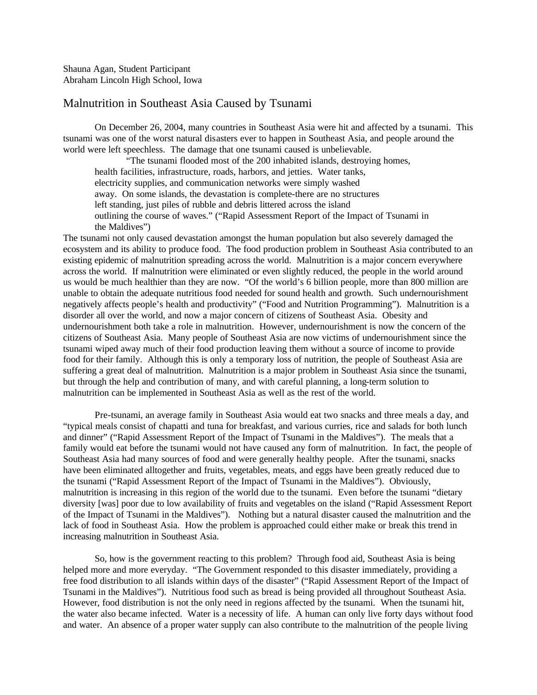Shauna Agan, Student Participant Abraham Lincoln High School, Iowa

## Malnutrition in Southeast Asia Caused by Tsunami

On December 26, 2004, many countries in Southeast Asia were hit and affected by a tsunami. This tsunami was one of the worst natural disasters ever to happen in Southeast Asia, and people around the world were left speechless. The damage that one tsunami caused is unbelievable.

"The tsunami flooded most of the 200 inhabited islands, destroying homes, health facilities, infrastructure, roads, harbors, and jetties. Water tanks, electricity supplies, and communication networks were simply washed away. On some islands, the devastation is complete-there are no structures left standing, just piles of rubble and debris littered across the island outlining the course of waves." ("Rapid Assessment Report of the Impact of Tsunami in the Maldives")

The tsunami not only caused devastation amongst the human population but also severely damaged the ecosystem and its ability to produce food. The food production problem in Southeast Asia contributed to an existing epidemic of malnutrition spreading across the world. Malnutrition is a major concern everywhere across the world. If malnutrition were eliminated or even slightly reduced, the people in the world around us would be much healthier than they are now. "Of the world's 6 billion people, more than 800 million are unable to obtain the adequate nutritious food needed for sound health and growth. Such undernourishment negatively affects people's health and productivity" ("Food and Nutrition Programming"). Malnutrition is a disorder all over the world, and now a major concern of citizens of Southeast Asia. Obesity and undernourishment both take a role in malnutrition. However, undernourishment is now the concern of the citizens of Southeast Asia. Many people of Southeast Asia are now victims of undernourishment since the tsunami wiped away much of their food production leaving them without a source of income to provide food for their family. Although this is only a temporary loss of nutrition, the people of Southeast Asia are suffering a great deal of malnutrition. Malnutrition is a major problem in Southeast Asia since the tsunami, but through the help and contribution of many, and with careful planning, a long-term solution to malnutrition can be implemented in Southeast Asia as well as the rest of the world.

Pre-tsunami, an average family in Southeast Asia would eat two snacks and three meals a day, and "typical meals consist of chapatti and tuna for breakfast, and various curries, rice and salads for both lunch and dinner" ("Rapid Assessment Report of the Impact of Tsunami in the Maldives"). The meals that a family would eat before the tsunami would not have caused any form of malnutrition. In fact, the people of Southeast Asia had many sources of food and were generally healthy people. After the tsunami, snacks have been eliminated alltogether and fruits, vegetables, meats, and eggs have been greatly reduced due to the tsunami ("Rapid Assessment Report of the Impact of Tsunami in the Maldives"). Obviously, malnutrition is increasing in this region of the world due to the tsunami. Even before the tsunami "dietary diversity [was] poor due to low availability of fruits and vegetables on the island ("Rapid Assessment Report of the Impact of Tsunami in the Maldives"). Nothing but a natural disaster caused the malnutrition and the lack of food in Southeast Asia. How the problem is approached could either make or break this trend in increasing malnutrition in Southeast Asia.

So, how is the government reacting to this problem? Through food aid, Southeast Asia is being helped more and more everyday. "The Government responded to this disaster immediately, providing a free food distribution to all islands within days of the disaster" ("Rapid Assessment Report of the Impact of Tsunami in the Maldives"). Nutritious food such as bread is being provided all throughout Southeast Asia. However, food distribution is not the only need in regions affected by the tsunami. When the tsunami hit, the water also became infected. Water is a necessity of life. A human can only live forty days without food and water. An absence of a proper water supply can also contribute to the malnutrition of the people living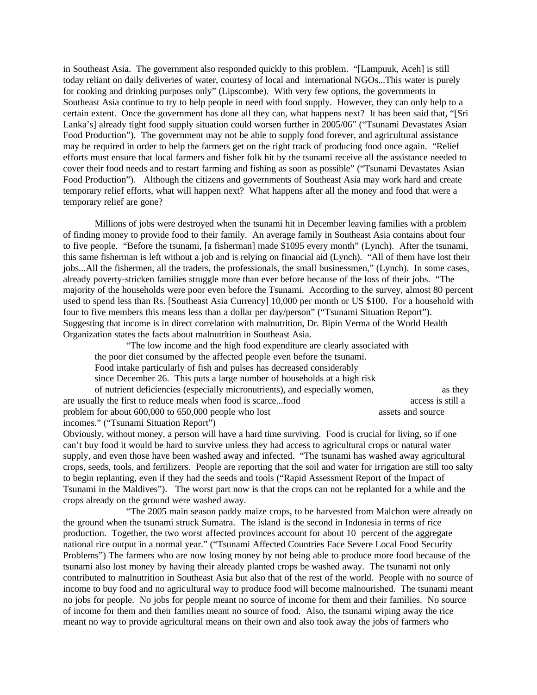in Southeast Asia. The government also responded quickly to this problem. "[Lampuuk, Aceh] is still today reliant on daily deliveries of water, courtesy of local and international NGOs...This water is purely for cooking and drinking purposes only" (Lipscombe). With very few options, the governments in Southeast Asia continue to try to help people in need with food supply. However, they can only help to a certain extent. Once the government has done all they can, what happens next? It has been said that, "[Sri Lanka's] already tight food supply situation could worsen further in 2005/06" ("Tsunami Devastates Asian Food Production"). The government may not be able to supply food forever, and agricultural assistance may be required in order to help the farmers get on the right track of producing food once again. "Relief efforts must ensure that local farmers and fisher folk hit by the tsunami receive all the assistance needed to cover their food needs and to restart farming and fishing as soon as possible" ("Tsunami Devastates Asian Food Production"). Although the citizens and governments of Southeast Asia may work hard and create temporary relief efforts, what will happen next? What happens after all the money and food that were a temporary relief are gone?

Millions of jobs were destroyed when the tsunami hit in December leaving families with a problem of finding money to provide food to their family. An average family in Southeast Asia contains about four to five people. "Before the tsunami, [a fisherman] made \$1095 every month" (Lynch). After the tsunami, this same fisherman is left without a job and is relying on financial aid (Lynch). "All of them have lost their jobs...All the fishermen, all the traders, the professionals, the small businessmen," (Lynch). In some cases, already poverty-stricken families struggle more than ever before because of the loss of their jobs. "The majority of the households were poor even before the Tsunami. According to the survey, almost 80 percent used to spend less than Rs. [Southeast Asia Currency] 10,000 per month or US \$100. For a household with four to five members this means less than a dollar per day/person" ("Tsunami Situation Report"). Suggesting that income is in direct correlation with malnutrition, Dr. Bipin Verma of the World Health Organization states the facts about malnutrition in Southeast Asia.

"The low income and the high food expenditure are clearly associated with the poor diet consumed by the affected people even before the tsunami. Food intake particularly of fish and pulses has decreased considerably since December 26. This puts a large number of households at a high risk of nutrient deficiencies (especially micronutrients), and especially women, as they are usually the first to reduce meals when food is scarce...food access is still a problem for about 600,000 to 650,000 people who lost assets and source incomes." ("Tsunami Situation Report")

Obviously, without money, a person will have a hard time surviving. Food is crucial for living, so if one can't buy food it would be hard to survive unless they had access to agricultural crops or natural water supply, and even those have been washed away and infected. "The tsunami has washed away agricultural crops, seeds, tools, and fertilizers. People are reporting that the soil and water for irrigation are still too salty to begin replanting, even if they had the seeds and tools ("Rapid Assessment Report of the Impact of Tsunami in the Maldives"). The worst part now is that the crops can not be replanted for a while and the crops already on the ground were washed away.

"The 2005 main season paddy maize crops, to be harvested from Malchon were already on the ground when the tsunami struck Sumatra. The island is the second in Indonesia in terms of rice production. Together, the two worst affected provinces account for about 10 percent of the aggregate national rice output in a normal year." ("Tsunami Affected Countries Face Severe Local Food Security Problems") The farmers who are now losing money by not being able to produce more food because of the tsunami also lost money by having their already planted crops be washed away. The tsunami not only contributed to malnutrition in Southeast Asia but also that of the rest of the world. People with no source of income to buy food and no agricultural way to produce food will become malnourished. The tsunami meant no jobs for people. No jobs for people meant no source of income for them and their families. No source of income for them and their families meant no source of food. Also, the tsunami wiping away the rice meant no way to provide agricultural means on their own and also took away the jobs of farmers who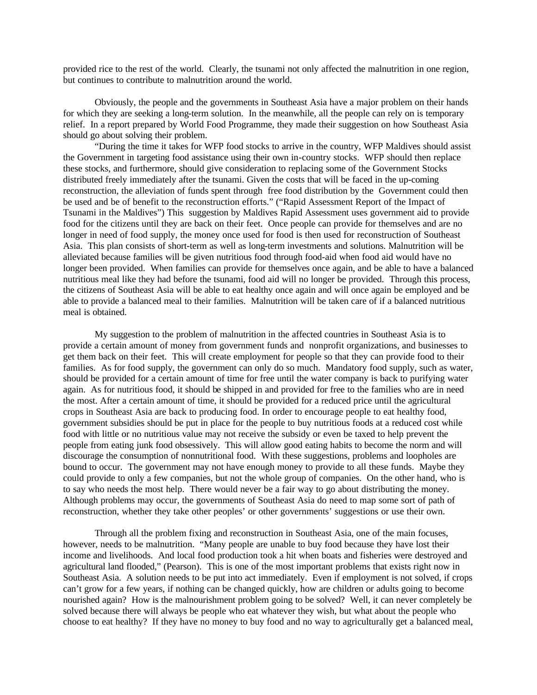provided rice to the rest of the world. Clearly, the tsunami not only affected the malnutrition in one region, but continues to contribute to malnutrition around the world.

Obviously, the people and the governments in Southeast Asia have a major problem on their hands for which they are seeking a long-term solution. In the meanwhile, all the people can rely on is temporary relief. In a report prepared by World Food Programme, they made their suggestion on how Southeast Asia should go about solving their problem.

"During the time it takes for WFP food stocks to arrive in the country, WFP Maldives should assist the Government in targeting food assistance using their own in-country stocks. WFP should then replace these stocks, and furthermore, should give consideration to replacing some of the Government Stocks distributed freely immediately after the tsunami. Given the costs that will be faced in the up-coming reconstruction, the alleviation of funds spent through free food distribution by the Government could then be used and be of benefit to the reconstruction efforts." ("Rapid Assessment Report of the Impact of Tsunami in the Maldives") This suggestion by Maldives Rapid Assessment uses government aid to provide food for the citizens until they are back on their feet. Once people can provide for themselves and are no longer in need of food supply, the money once used for food is then used for reconstruction of Southeast Asia. This plan consists of short-term as well as long-term investments and solutions. Malnutrition will be alleviated because families will be given nutritious food through food-aid when food aid would have no longer been provided. When families can provide for themselves once again, and be able to have a balanced nutritious meal like they had before the tsunami, food aid will no longer be provided. Through this process, the citizens of Southeast Asia will be able to eat healthy once again and will once again be employed and be able to provide a balanced meal to their families. Malnutrition will be taken care of if a balanced nutritious meal is obtained.

My suggestion to the problem of malnutrition in the affected countries in Southeast Asia is to provide a certain amount of money from government funds and nonprofit organizations, and businesses to get them back on their feet. This will create employment for people so that they can provide food to their families. As for food supply, the government can only do so much. Mandatory food supply, such as water, should be provided for a certain amount of time for free until the water company is back to purifying water again. As for nutritious food, it should be shipped in and provided for free to the families who are in need the most. After a certain amount of time, it should be provided for a reduced price until the agricultural crops in Southeast Asia are back to producing food. In order to encourage people to eat healthy food, government subsidies should be put in place for the people to buy nutritious foods at a reduced cost while food with little or no nutritious value may not receive the subsidy or even be taxed to help prevent the people from eating junk food obsessively. This will allow good eating habits to become the norm and will discourage the consumption of nonnutritional food. With these suggestions, problems and loopholes are bound to occur. The government may not have enough money to provide to all these funds. Maybe they could provide to only a few companies, but not the whole group of companies. On the other hand, who is to say who needs the most help. There would never be a fair way to go about distributing the money. Although problems may occur, the governments of Southeast Asia do need to map some sort of path of reconstruction, whether they take other peoples' or other governments' suggestions or use their own.

Through all the problem fixing and reconstruction in Southeast Asia, one of the main focuses, however, needs to be malnutrition. "Many people are unable to buy food because they have lost their income and livelihoods. And local food production took a hit when boats and fisheries were destroyed and agricultural land flooded," (Pearson). This is one of the most important problems that exists right now in Southeast Asia. A solution needs to be put into act immediately. Even if employment is not solved, if crops can't grow for a few years, if nothing can be changed quickly, how are children or adults going to become nourished again? How is the malnourishment problem going to be solved? Well, it can never completely be solved because there will always be people who eat whatever they wish, but what about the people who choose to eat healthy? If they have no money to buy food and no way to agriculturally get a balanced meal,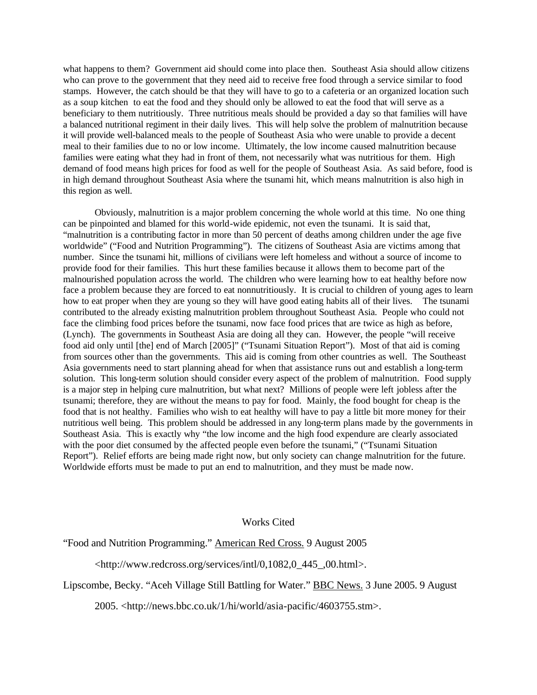what happens to them? Government aid should come into place then. Southeast Asia should allow citizens who can prove to the government that they need aid to receive free food through a service similar to food stamps. However, the catch should be that they will have to go to a cafeteria or an organized location such as a soup kitchen to eat the food and they should only be allowed to eat the food that will serve as a beneficiary to them nutritiously. Three nutritious meals should be provided a day so that families will have a balanced nutritional regiment in their daily lives. This will help solve the problem of malnutrition because it will provide well-balanced meals to the people of Southeast Asia who were unable to provide a decent meal to their families due to no or low income. Ultimately, the low income caused malnutrition because families were eating what they had in front of them, not necessarily what was nutritious for them. High demand of food means high prices for food as well for the people of Southeast Asia. As said before, food is in high demand throughout Southeast Asia where the tsunami hit, which means malnutrition is also high in this region as well.

Obviously, malnutrition is a major problem concerning the whole world at this time. No one thing can be pinpointed and blamed for this world-wide epidemic, not even the tsunami. It is said that, "malnutrition is a contributing factor in more than 50 percent of deaths among children under the age five worldwide" ("Food and Nutrition Programming"). The citizens of Southeast Asia are victims among that number. Since the tsunami hit, millions of civilians were left homeless and without a source of income to provide food for their families. This hurt these families because it allows them to become part of the malnourished population across the world. The children who were learning how to eat healthy before now face a problem because they are forced to eat nonnutritiously. It is crucial to children of young ages to learn how to eat proper when they are young so they will have good eating habits all of their lives. The tsunami contributed to the already existing malnutrition problem throughout Southeast Asia. People who could not face the climbing food prices before the tsunami, now face food prices that are twice as high as before, (Lynch). The governments in Southeast Asia are doing all they can. However, the people "will receive food aid only until [the] end of March [2005]" ("Tsunami Situation Report"). Most of that aid is coming from sources other than the governments. This aid is coming from other countries as well. The Southeast Asia governments need to start planning ahead for when that assistance runs out and establish a long-term solution. This long-term solution should consider every aspect of the problem of malnutrition. Food supply is a major step in helping cure malnutrition, but what next? Millions of people were left jobless after the tsunami; therefore, they are without the means to pay for food. Mainly, the food bought for cheap is the food that is not healthy. Families who wish to eat healthy will have to pay a little bit more money for their nutritious well being. This problem should be addressed in any long-term plans made by the governments in Southeast Asia. This is exactly why "the low income and the high food expendure are clearly associated with the poor diet consumed by the affected people even before the tsunami," ("Tsunami Situation Report"). Relief efforts are being made right now, but only society can change malnutrition for the future. Worldwide efforts must be made to put an end to malnutrition, and they must be made now.

## Works Cited

## "Food and Nutrition Programming." American Red Cross. 9 August 2005

<http://www.redcross.org/services/intl/0,1082,0\_445\_,00.html>.

## Lipscombe, Becky. "Aceh Village Still Battling for Water." BBC News. 3 June 2005. 9 August

2005. <http://news.bbc.co.uk/1/hi/world/asia-pacific/4603755.stm>.